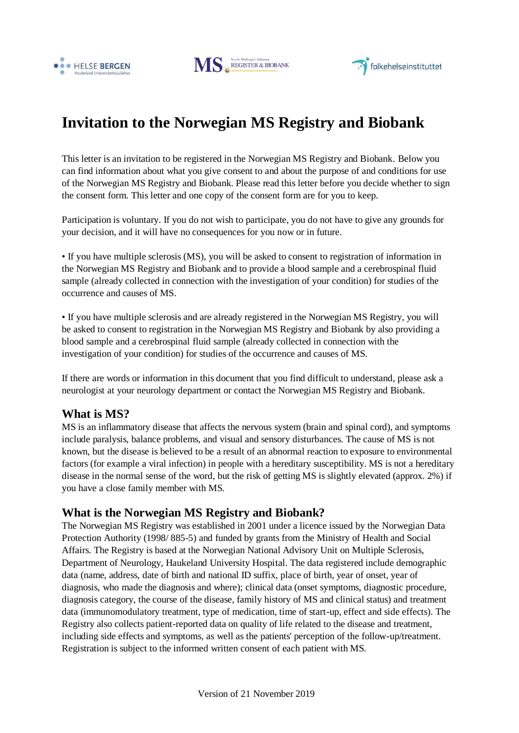



# **Invitation to the Norwegian MS Registry and Biobank**

This letter is an invitation to be registered in the Norwegian MS Registry and Biobank. Below you can find information about what you give consent to and about the purpose of and conditions for use of the Norwegian MS Registry and Biobank. Please read this letter before you decide whether to sign the consent form. This letter and one copy of the consent form are for you to keep.

Participation is voluntary. If you do not wish to participate, you do not have to give any grounds for your decision, and it will have no consequences for you now or in future.

• If you have multiple sclerosis (MS), you will be asked to consent to registration of information in the Norwegian MS Registry and Biobank and to provide a blood sample and a cerebrospinal fluid sample (already collected in connection with the investigation of your condition) for studies of the occurrence and causes of MS.

• If you have multiple sclerosis and are already registered in the Norwegian MS Registry, you will be asked to consent to registration in the Norwegian MS Registry and Biobank by also providing a blood sample and a cerebrospinal fluid sample (already collected in connection with the investigation of your condition) for studies of the occurrence and causes of MS.

If there are words or information in this document that you find difficult to understand, please ask a neurologist at your neurology department or contact the Norwegian MS Registry and Biobank.

#### **What is MS?**

MS is an inflammatory disease that affects the nervous system (brain and spinal cord), and symptoms include paralysis, balance problems, and visual and sensory disturbances. The cause of MS is not known, but the disease is believed to be a result of an abnormal reaction to exposure to environmental factors (for example a viral infection) in people with a hereditary susceptibility. MS is not a hereditary disease in the normal sense of the word, but the risk of getting MS is slightly elevated (approx. 2%) if you have a close family member with MS.

### **What is the Norwegian MS Registry and Biobank?**

The Norwegian MS Registry was established in 2001 under a licence issued by the Norwegian Data Protection Authority (1998/ 885-5) and funded by grants from the Ministry of Health and Social Affairs. The Registry is based at the Norwegian National Advisory Unit on Multiple Sclerosis, Department of Neurology, Haukeland University Hospital. The data registered include demographic data (name, address, date of birth and national ID suffix, place of birth, year of onset, year of diagnosis, who made the diagnosis and where); clinical data (onset symptoms, diagnostic procedure, diagnosis category, the course of the disease, family history of MS and clinical status) and treatment data (immunomodulatory treatment, type of medication, time of start-up, effect and side effects). The Registry also collects patient-reported data on quality of life related to the disease and treatment, including side effects and symptoms, as well as the patients' perception of the follow-up/treatment. Registration is subject to the informed written consent of each patient with MS.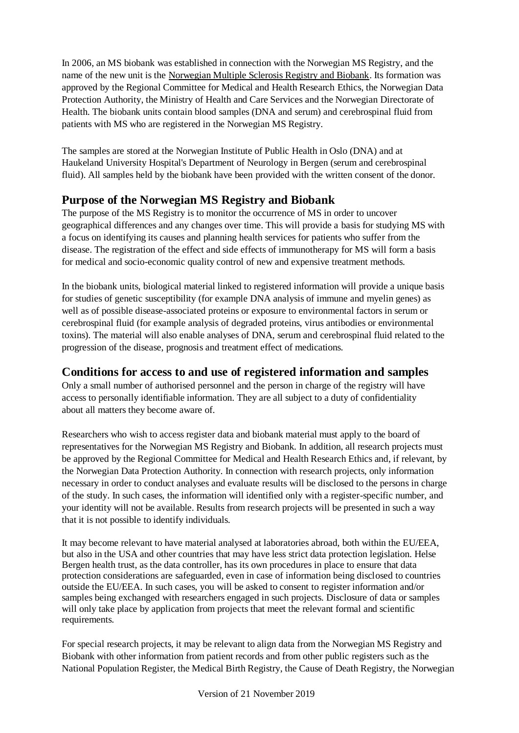In 2006, an MS biobank was established in connection with the Norwegian MS Registry, and the name of the new unit is the Norwegian Multiple Sclerosis Registry and Biobank. Its formation was approved by the Regional Committee for Medical and Health Research Ethics, the Norwegian Data Protection Authority, the Ministry of Health and Care Services and the Norwegian Directorate of Health. The biobank units contain blood samples (DNA and serum) and cerebrospinal fluid from patients with MS who are registered in the Norwegian MS Registry.

The samples are stored at the Norwegian Institute of Public Health in Oslo (DNA) and at Haukeland University Hospital's Department of Neurology in Bergen (serum and cerebrospinal fluid). All samples held by the biobank have been provided with the written consent of the donor.

## **Purpose of the Norwegian MS Registry and Biobank**

The purpose of the MS Registry is to monitor the occurrence of MS in order to uncover geographical differences and any changes over time. This will provide a basis for studying MS with a focus on identifying its causes and planning health services for patients who suffer from the disease. The registration of the effect and side effects of immunotherapy for MS will form a basis for medical and socio-economic quality control of new and expensive treatment methods.

In the biobank units, biological material linked to registered information will provide a unique basis for studies of genetic susceptibility (for example DNA analysis of immune and myelin genes) as well as of possible disease-associated proteins or exposure to environmental factors in serum or cerebrospinal fluid (for example analysis of degraded proteins, virus antibodies or environmental toxins). The material will also enable analyses of DNA, serum and cerebrospinal fluid related to the progression of the disease, prognosis and treatment effect of medications.

## **Conditions for access to and use of registered information and samples**

Only a small number of authorised personnel and the person in charge of the registry will have access to personally identifiable information. They are all subject to a duty of confidentiality about all matters they become aware of.

Researchers who wish to access register data and biobank material must apply to the board of representatives for the Norwegian MS Registry and Biobank. In addition, all research projects must be approved by the Regional Committee for Medical and Health Research Ethics and, if relevant, by the Norwegian Data Protection Authority. In connection with research projects, only information necessary in order to conduct analyses and evaluate results will be disclosed to the persons in charge of the study. In such cases, the information will identified only with a register-specific number, and your identity will not be available. Results from research projects will be presented in such a way that it is not possible to identify individuals.

It may become relevant to have material analysed at laboratories abroad, both within the EU/EEA, but also in the USA and other countries that may have less strict data protection legislation. Helse Bergen health trust, as the data controller, has its own procedures in place to ensure that data protection considerations are safeguarded, even in case of information being disclosed to countries outside the EU/EEA. In such cases, you will be asked to consent to register information and/or samples being exchanged with researchers engaged in such projects. Disclosure of data or samples will only take place by application from projects that meet the relevant formal and scientific requirements.

For special research projects, it may be relevant to align data from the Norwegian MS Registry and Biobank with other information from patient records and from other public registers such as the National Population Register, the Medical Birth Registry, the Cause of Death Registry, the Norwegian